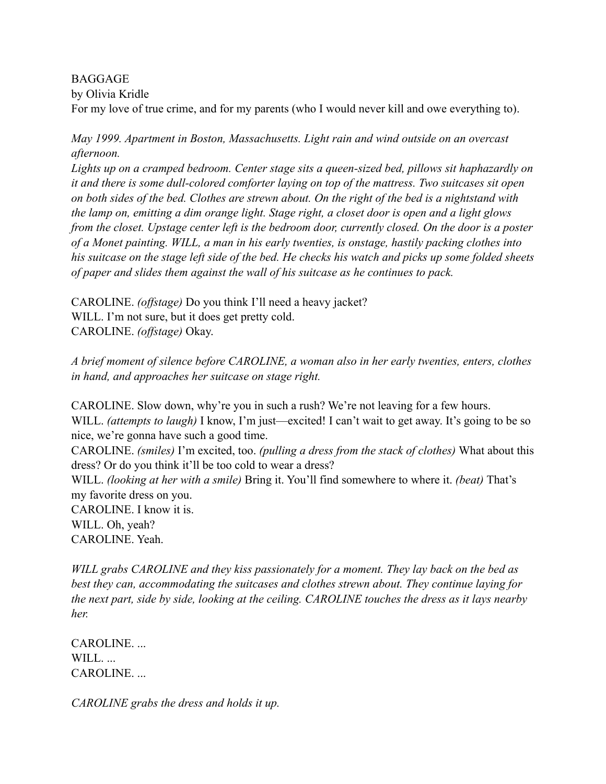BAGGAGE

by Olivia Kridle

For my love of true crime, and for my parents (who I would never kill and owe everything to).

*May 1999. Apartment in Boston, Massachusetts. Light rain and wind outside on an overcast afternoon.*

*Lights up on a cramped bedroom. Center stage sits a queen-sized bed, pillows sit haphazardly on it and there is some dull-colored comforter laying on top of the mattress. Two suitcases sit open on both sides of the bed. Clothes are strewn about. On the right of the bed is a nightstand with the lamp on, emitting a dim orange light. Stage right, a closet door is open and a light glows from the closet. Upstage center left is the bedroom door, currently closed. On the door is a poster of a Monet painting. WILL, a man in his early twenties, is onstage, hastily packing clothes into his suitcase on the stage left side of the bed. He checks his watch and picks up some folded sheets of paper and slides them against the wall of his suitcase as he continues to pack.* 

CAROLINE. *(offstage)* Do you think I'll need a heavy jacket? WILL. I'm not sure, but it does get pretty cold. CAROLINE. *(offstage)* Okay.

*A brief moment of silence before CAROLINE, a woman also in her early twenties, enters, clothes in hand, and approaches her suitcase on stage right.* 

CAROLINE. Slow down, why're you in such a rush? We're not leaving for a few hours. WILL. *(attempts to laugh)* I know, I'm just—excited! I can't wait to get away. It's going to be so nice, we're gonna have such a good time. CAROLINE. *(smiles)* I'm excited, too. *(pulling a dress from the stack of clothes)* What about this dress? Or do you think it'll be too cold to wear a dress? WILL. *(looking at her with a smile)* Bring it. You'll find somewhere to where it. *(beat)* That's my favorite dress on you. CAROLINE. I know it is. WILL. Oh, yeah? CAROLINE. Yeah.

*WILL grabs CAROLINE and they kiss passionately for a moment. They lay back on the bed as best they can, accommodating the suitcases and clothes strewn about. They continue laying for the next part, side by side, looking at the ceiling. CAROLINE touches the dress as it lays nearby her.* 

CAROLINE. ... WILL... CAROLINE. ...

*CAROLINE grabs the dress and holds it up.*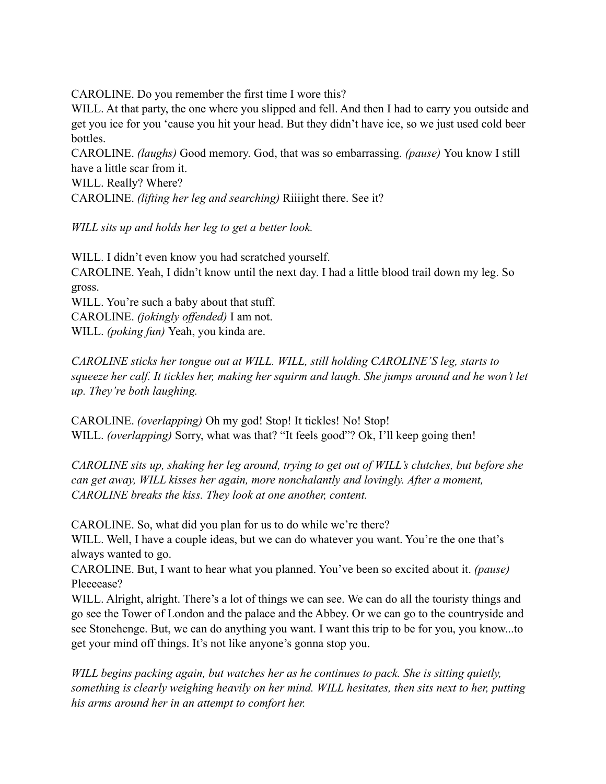CAROLINE. Do you remember the first time I wore this?

WILL. At that party, the one where you slipped and fell. And then I had to carry you outside and get you ice for you 'cause you hit your head. But they didn't have ice, so we just used cold beer bottles.

CAROLINE. *(laughs)* Good memory. God, that was so embarrassing. *(pause)* You know I still have a little scar from it.

WILL. Really? Where? CAROLINE. *(lifting her leg and searching)* Riiiight there. See it?

*WILL sits up and holds her leg to get a better look.* 

WILL. I didn't even know you had scratched yourself. CAROLINE. Yeah, I didn't know until the next day. I had a little blood trail down my leg. So gross.

WILL. You're such a baby about that stuff. CAROLINE. *(jokingly offended)* I am not. WILL. *(poking fun)* Yeah, you kinda are.

*CAROLINE sticks her tongue out at WILL. WILL, still holding CAROLINE'S leg, starts to squeeze her calf. It tickles her, making her squirm and laugh. She jumps around and he won't let up. They're both laughing.* 

CAROLINE. *(overlapping)* Oh my god! Stop! It tickles! No! Stop! WILL. *(overlapping)* Sorry, what was that? "It feels good"? Ok, I'll keep going then!

*CAROLINE sits up, shaking her leg around, trying to get out of WILL's clutches, but before she can get away, WILL kisses her again, more nonchalantly and lovingly. After a moment, CAROLINE breaks the kiss. They look at one another, content.* 

CAROLINE. So, what did you plan for us to do while we're there?

WILL. Well, I have a couple ideas, but we can do whatever you want. You're the one that's always wanted to go.

CAROLINE. But, I want to hear what you planned. You've been so excited about it. *(pause)*  Pleeeease?

WILL. Alright, alright. There's a lot of things we can see. We can do all the touristy things and go see the Tower of London and the palace and the Abbey. Or we can go to the countryside and see Stonehenge. But, we can do anything you want. I want this trip to be for you, you know...to get your mind off things. It's not like anyone's gonna stop you.

*WILL begins packing again, but watches her as he continues to pack. She is sitting quietly, something is clearly weighing heavily on her mind. WILL hesitates, then sits next to her, putting his arms around her in an attempt to comfort her.*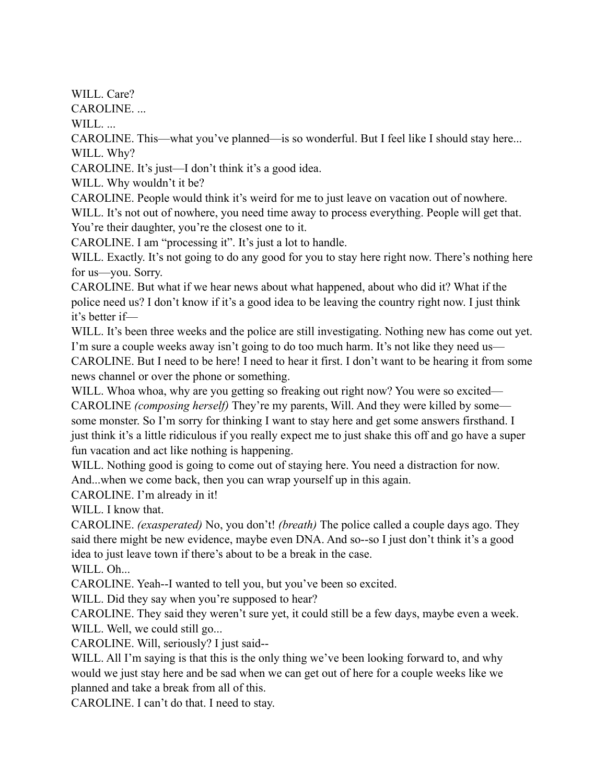WILL. Care?

CAROLINE. ...

WILL...

CAROLINE. This—what you've planned—is so wonderful. But I feel like I should stay here... WILL. Why?

CAROLINE. It's just—I don't think it's a good idea.

WILL. Why wouldn't it be?

CAROLINE. People would think it's weird for me to just leave on vacation out of nowhere. WILL. It's not out of nowhere, you need time away to process everything. People will get that.

You're their daughter, you're the closest one to it.

CAROLINE. I am "processing it". It's just a lot to handle.

WILL. Exactly. It's not going to do any good for you to stay here right now. There's nothing here for us—you. Sorry.

CAROLINE. But what if we hear news about what happened, about who did it? What if the police need us? I don't know if it's a good idea to be leaving the country right now. I just think it's better if—

WILL. It's been three weeks and the police are still investigating. Nothing new has come out yet. I'm sure a couple weeks away isn't going to do too much harm. It's not like they need us— CAROLINE. But I need to be here! I need to hear it first. I don't want to be hearing it from some news channel or over the phone or something.

WILL. Whoa whoa, why are you getting so freaking out right now? You were so excited— CAROLINE *(composing herself)* They're my parents, Will. And they were killed by some some monster. So I'm sorry for thinking I want to stay here and get some answers firsthand. I just think it's a little ridiculous if you really expect me to just shake this off and go have a super fun vacation and act like nothing is happening.

WILL. Nothing good is going to come out of staying here. You need a distraction for now. And...when we come back, then you can wrap yourself up in this again.

CAROLINE. I'm already in it!

WILL. I know that.

CAROLINE. *(exasperated)* No, you don't! *(breath)* The police called a couple days ago. They said there might be new evidence, maybe even DNA. And so--so I just don't think it's a good idea to just leave town if there's about to be a break in the case.

WILL. Oh...

CAROLINE. Yeah--I wanted to tell you, but you've been so excited.

WILL. Did they say when you're supposed to hear?

CAROLINE. They said they weren't sure yet, it could still be a few days, maybe even a week. WILL. Well, we could still go...

CAROLINE. Will, seriously? I just said--

WILL. All I'm saying is that this is the only thing we've been looking forward to, and why would we just stay here and be sad when we can get out of here for a couple weeks like we planned and take a break from all of this.

CAROLINE. I can't do that. I need to stay.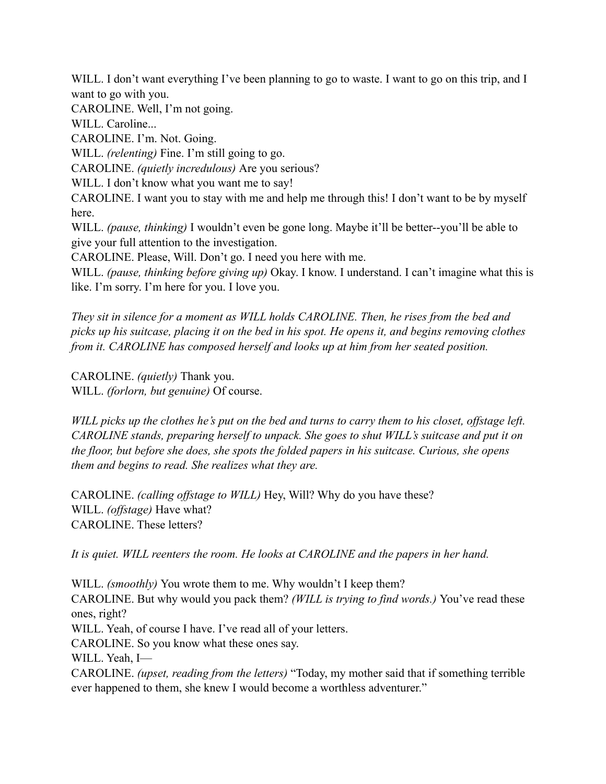WILL. I don't want everything I've been planning to go to waste. I want to go on this trip, and I want to go with you.

CAROLINE. Well, I'm not going.

WILL. Caroline...

CAROLINE. I'm. Not. Going.

WILL. *(relenting)* Fine. I'm still going to go.

CAROLINE. *(quietly incredulous)* Are you serious?

WILL. I don't know what you want me to say!

CAROLINE. I want you to stay with me and help me through this! I don't want to be by myself here.

WILL. *(pause, thinking)* I wouldn't even be gone long. Maybe it'll be better--you'll be able to give your full attention to the investigation.

CAROLINE. Please, Will. Don't go. I need you here with me.

WILL. *(pause, thinking before giving up)* Okay. I know. I understand. I can't imagine what this is like. I'm sorry. I'm here for you. I love you.

*They sit in silence for a moment as WILL holds CAROLINE. Then, he rises from the bed and picks up his suitcase, placing it on the bed in his spot. He opens it, and begins removing clothes from it. CAROLINE has composed herself and looks up at him from her seated position.* 

CAROLINE. *(quietly)* Thank you. WILL. *(forlorn, but genuine)* Of course.

*WILL picks up the clothes he's put on the bed and turns to carry them to his closet, offstage left. CAROLINE stands, preparing herself to unpack. She goes to shut WILL's suitcase and put it on the floor, but before she does, she spots the folded papers in his suitcase. Curious, she opens them and begins to read. She realizes what they are.* 

CAROLINE. *(calling offstage to WILL)* Hey, Will? Why do you have these? WILL. *(offstage)* Have what? CAROLINE. These letters?

*It is quiet. WILL reenters the room. He looks at CAROLINE and the papers in her hand.* 

WILL. *(smoothly)* You wrote them to me. Why wouldn't I keep them? CAROLINE. But why would you pack them? *(WILL is trying to find words.)* You've read these ones, right? WILL. Yeah, of course I have. I've read all of your letters. CAROLINE. So you know what these ones say. WILL. Yeah, I— CAROLINE. *(upset, reading from the letters)* "Today, my mother said that if something terrible ever happened to them, she knew I would become a worthless adventurer."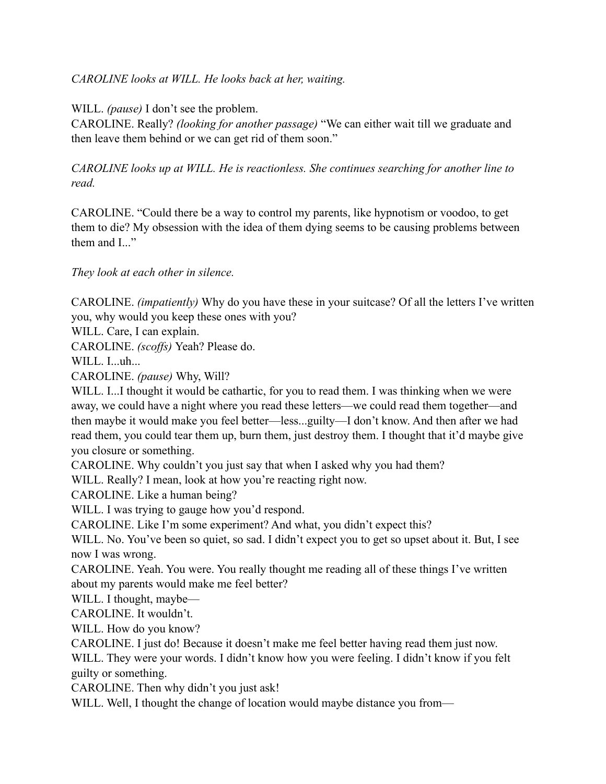*CAROLINE looks at WILL. He looks back at her, waiting.* 

WILL. *(pause)* I don't see the problem.

CAROLINE. Really? *(looking for another passage)* "We can either wait till we graduate and then leave them behind or we can get rid of them soon."

*CAROLINE looks up at WILL. He is reactionless. She continues searching for another line to read.* 

CAROLINE. "Could there be a way to control my parents, like hypnotism or voodoo, to get them to die? My obsession with the idea of them dying seems to be causing problems between them and  $I$ ..."

*They look at each other in silence.*

CAROLINE. *(impatiently)* Why do you have these in your suitcase? Of all the letters I've written you, why would you keep these ones with you?

WILL. Care, I can explain.

CAROLINE. *(scoffs)* Yeah? Please do.

WILL. I...uh...

CAROLINE. *(pause)* Why, Will?

WILL. I...I thought it would be cathartic, for you to read them. I was thinking when we were away, we could have a night where you read these letters—we could read them together—and then maybe it would make you feel better—less...guilty—I don't know. And then after we had read them, you could tear them up, burn them, just destroy them. I thought that it'd maybe give you closure or something.

CAROLINE. Why couldn't you just say that when I asked why you had them?

WILL. Really? I mean, look at how you're reacting right now.

CAROLINE. Like a human being?

WILL. I was trying to gauge how you'd respond.

CAROLINE. Like I'm some experiment? And what, you didn't expect this?

WILL. No. You've been so quiet, so sad. I didn't expect you to get so upset about it. But, I see now I was wrong.

CAROLINE. Yeah. You were. You really thought me reading all of these things I've written about my parents would make me feel better?

WILL. I thought, maybe—

CAROLINE. It wouldn't.

WILL. How do you know?

CAROLINE. I just do! Because it doesn't make me feel better having read them just now.

WILL. They were your words. I didn't know how you were feeling. I didn't know if you felt guilty or something.

CAROLINE. Then why didn't you just ask!

WILL. Well, I thought the change of location would maybe distance you from—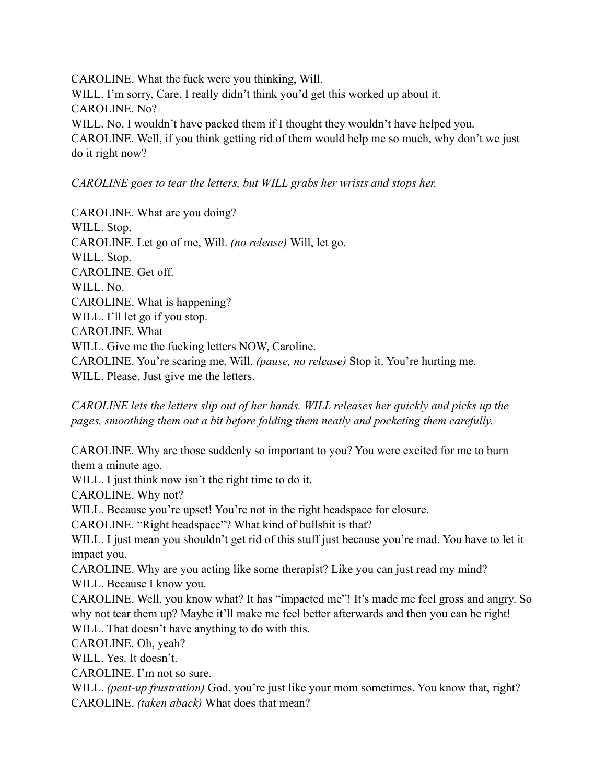CAROLINE. What the fuck were you thinking, Will. WILL. I'm sorry, Care. I really didn't think you'd get this worked up about it. CAROLINE. No? WILL. No. I wouldn't have packed them if I thought they wouldn't have helped you. CAROLINE. Well, if you think getting rid of them would help me so much, why don't we just do it right now?

## *CAROLINE goes to tear the letters, but WILL grabs her wrists and stops her.*

CAROLINE. What are you doing? WILL. Stop. CAROLINE. Let go of me, Will. *(no release)* Will, let go. WILL. Stop. CAROLINE. Get off. WILL. No. CAROLINE. What is happening? WILL. I'll let go if you stop. CAROLINE. What— WILL. Give me the fucking letters NOW, Caroline. CAROLINE. You're scaring me, Will. *(pause, no release)* Stop it. You're hurting me. WILL. Please. Just give me the letters.

*CAROLINE lets the letters slip out of her hands. WILL releases her quickly and picks up the pages, smoothing them out a bit before folding them neatly and pocketing them carefully.* 

CAROLINE. Why are those suddenly so important to you? You were excited for me to burn them a minute ago.

WILL. I just think now isn't the right time to do it.

CAROLINE. Why not?

WILL. Because you're upset! You're not in the right headspace for closure.

CAROLINE. "Right headspace"? What kind of bullshit is that?

WILL. I just mean you shouldn't get rid of this stuff just because you're mad. You have to let it impact you.

CAROLINE. Why are you acting like some therapist? Like you can just read my mind? WILL. Because I know you.

CAROLINE. Well, you know what? It has "impacted me"! It's made me feel gross and angry. So why not tear them up? Maybe it'll make me feel better afterwards and then you can be right! WILL. That doesn't have anything to do with this.

CAROLINE. Oh, yeah?

WILL. Yes. It doesn't.

CAROLINE. I'm not so sure.

WILL. *(pent-up frustration)* God, you're just like your mom sometimes. You know that, right? CAROLINE. *(taken aback)* What does that mean?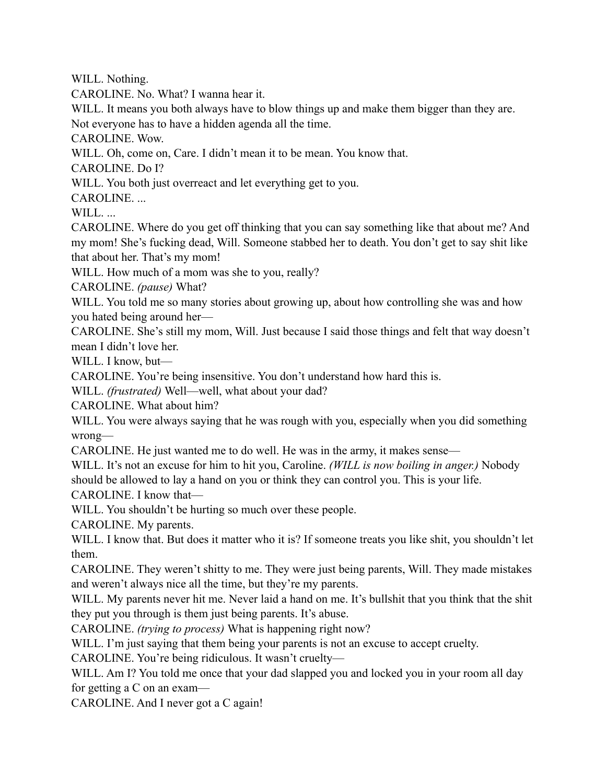WILL. Nothing.

CAROLINE. No. What? I wanna hear it.

WILL. It means you both always have to blow things up and make them bigger than they are. Not everyone has to have a hidden agenda all the time.

CAROLINE. Wow.

WILL. Oh, come on, Care. I didn't mean it to be mean. You know that.

CAROLINE. Do I?

WILL. You both just overreact and let everything get to you.

CAROLINE. ...

WILL...

CAROLINE. Where do you get off thinking that you can say something like that about me? And my mom! She's fucking dead, Will. Someone stabbed her to death. You don't get to say shit like that about her. That's my mom!

WILL. How much of a mom was she to you, really?

CAROLINE. *(pause)* What?

WILL. You told me so many stories about growing up, about how controlling she was and how you hated being around her—

CAROLINE. She's still my mom, Will. Just because I said those things and felt that way doesn't mean I didn't love her.

WILL. I know, but—

CAROLINE. You're being insensitive. You don't understand how hard this is.

WILL. *(frustrated)* Well—well, what about your dad?

CAROLINE. What about him?

WILL. You were always saying that he was rough with you, especially when you did something wrong—

CAROLINE. He just wanted me to do well. He was in the army, it makes sense—

WILL. It's not an excuse for him to hit you, Caroline. *(WILL is now boiling in anger.)* Nobody should be allowed to lay a hand on you or think they can control you. This is your life.

CAROLINE. I know that—

WILL. You shouldn't be hurting so much over these people.

CAROLINE. My parents.

WILL. I know that. But does it matter who it is? If someone treats you like shit, you shouldn't let them.

CAROLINE. They weren't shitty to me. They were just being parents, Will. They made mistakes and weren't always nice all the time, but they're my parents.

WILL. My parents never hit me. Never laid a hand on me. It's bullshit that you think that the shit they put you through is them just being parents. It's abuse.

CAROLINE. *(trying to process)* What is happening right now?

WILL. I'm just saying that them being your parents is not an excuse to accept cruelty.

CAROLINE. You're being ridiculous. It wasn't cruelty—

WILL. Am I? You told me once that your dad slapped you and locked you in your room all day for getting a C on an exam—

CAROLINE. And I never got a C again!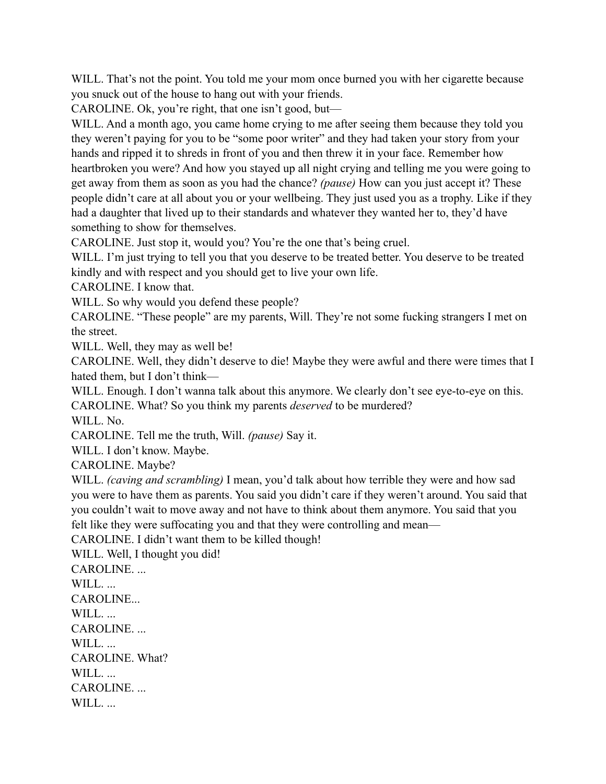WILL. That's not the point. You told me your mom once burned you with her cigarette because you snuck out of the house to hang out with your friends.

CAROLINE. Ok, you're right, that one isn't good, but—

WILL. And a month ago, you came home crying to me after seeing them because they told you they weren't paying for you to be "some poor writer" and they had taken your story from your hands and ripped it to shreds in front of you and then threw it in your face. Remember how heartbroken you were? And how you stayed up all night crying and telling me you were going to get away from them as soon as you had the chance? *(pause)* How can you just accept it? These people didn't care at all about you or your wellbeing. They just used you as a trophy. Like if they had a daughter that lived up to their standards and whatever they wanted her to, they'd have something to show for themselves.

CAROLINE. Just stop it, would you? You're the one that's being cruel.

WILL. I'm just trying to tell you that you deserve to be treated better. You deserve to be treated kindly and with respect and you should get to live your own life.

CAROLINE. I know that.

WILL. So why would you defend these people?

CAROLINE. "These people" are my parents, Will. They're not some fucking strangers I met on the street.

WILL. Well, they may as well be!

CAROLINE. Well, they didn't deserve to die! Maybe they were awful and there were times that I hated them, but I don't think—

WILL. Enough. I don't wanna talk about this anymore. We clearly don't see eye-to-eye on this. CAROLINE. What? So you think my parents *deserved* to be murdered?

WILL. No.

CAROLINE. Tell me the truth, Will. *(pause)* Say it.

WILL. I don't know. Maybe.

CAROLINE. Maybe?

WILL. *(caving and scrambling)* I mean, you'd talk about how terrible they were and how sad you were to have them as parents. You said you didn't care if they weren't around. You said that you couldn't wait to move away and not have to think about them anymore. You said that you felt like they were suffocating you and that they were controlling and mean—

CAROLINE. I didn't want them to be killed though!

WILL. Well, I thought you did!

CAROLINE. ... WILL... CAROLINE... WILL... CAROLINE. ... WILL... CAROLINE. What? WILL... CAROLINE. WILL...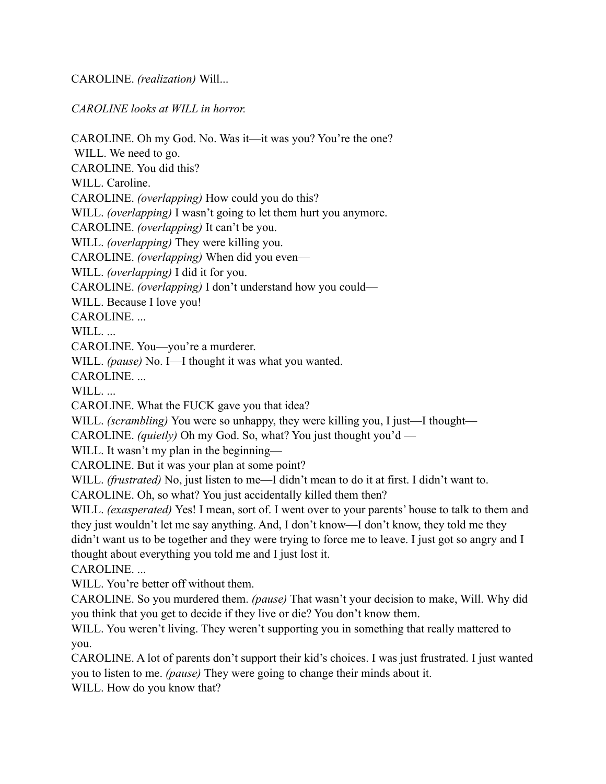CAROLINE. *(realization)* Will...

*CAROLINE looks at WILL in horror.* 

CAROLINE. Oh my God. No. Was it—it was you? You're the one? WILL. We need to go. CAROLINE. You did this? WILL. Caroline. CAROLINE. *(overlapping)* How could you do this? WILL. *(overlapping)* I wasn't going to let them hurt you anymore. CAROLINE. *(overlapping)* It can't be you. WILL. *(overlapping)* They were killing you. CAROLINE. *(overlapping)* When did you even— WILL. *(overlapping)* I did it for you. CAROLINE. *(overlapping)* I don't understand how you could— WILL. Because I love you! CAROLINE. ... WILL... CAROLINE. You—you're a murderer. WILL. *(pause)* No. I—I thought it was what you wanted. CAROLINE. ... WILL... CAROLINE. What the FUCK gave you that idea? WILL. *(scrambling)* You were so unhappy, they were killing you, I just—I thought— CAROLINE. *(quietly)* Oh my God. So, what? You just thought you'd — WILL. It wasn't my plan in the beginning— CAROLINE. But it was your plan at some point? WILL. *(frustrated)* No, just listen to me—I didn't mean to do it at first. I didn't want to. CAROLINE. Oh, so what? You just accidentally killed them then? WILL. *(exasperated)* Yes! I mean, sort of. I went over to your parents' house to talk to them and they just wouldn't let me say anything. And, I don't know—I don't know, they told me they didn't want us to be together and they were trying to force me to leave. I just got so angry and I thought about everything you told me and I just lost it. CAROLINE. ... WILL. You're better off without them. CAROLINE. So you murdered them. *(pause)* That wasn't your decision to make, Will. Why did you think that you get to decide if they live or die? You don't know them. WILL. You weren't living. They weren't supporting you in something that really mattered to you. CAROLINE. A lot of parents don't support their kid's choices. I was just frustrated. I just wanted you to listen to me. *(pause)* They were going to change their minds about it.

WILL. How do you know that?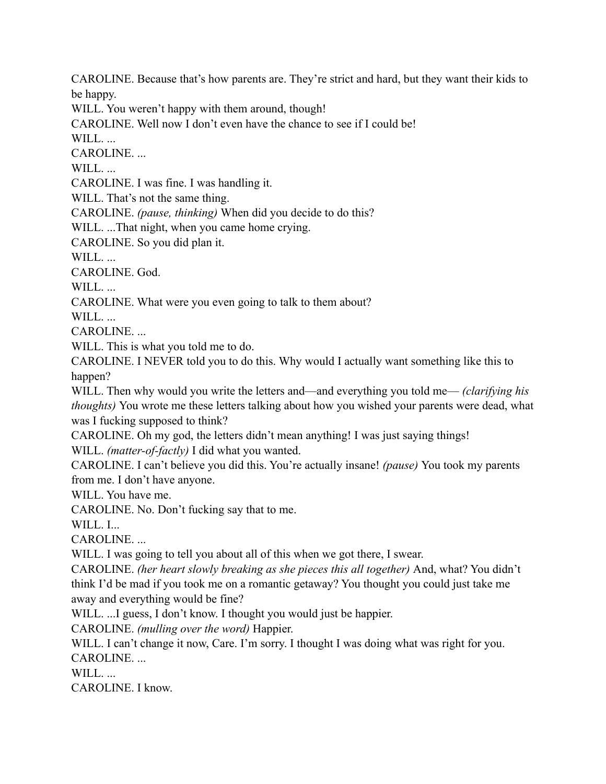CAROLINE. Because that's how parents are. They're strict and hard, but they want their kids to be happy.

WILL. You weren't happy with them around, though!

CAROLINE. Well now I don't even have the chance to see if I could be!

WILL.

CAROLINE. ...

WILL...

CAROLINE. I was fine. I was handling it.

WILL. That's not the same thing.

CAROLINE. *(pause, thinking)* When did you decide to do this?

WILL. ...That night, when you came home crying.

CAROLINE. So you did plan it.

WILL...

CAROLINE. God.

WILL...

CAROLINE. What were you even going to talk to them about?

WILL...

CAROLINE. ...

WILL. This is what you told me to do.

CAROLINE. I NEVER told you to do this. Why would I actually want something like this to happen?

WILL. Then why would you write the letters and—and everything you told me— *(clarifying his*) *thoughts)* You wrote me these letters talking about how you wished your parents were dead, what was I fucking supposed to think?

CAROLINE. Oh my god, the letters didn't mean anything! I was just saying things! WILL. *(matter-of-factly)* I did what you wanted.

CAROLINE. I can't believe you did this. You're actually insane! *(pause)* You took my parents from me. I don't have anyone.

WILL. You have me.

CAROLINE. No. Don't fucking say that to me.

WILL. I...

CAROLINE. ...

WILL. I was going to tell you about all of this when we got there, I swear.

CAROLINE. *(her heart slowly breaking as she pieces this all together)* And, what? You didn't think I'd be mad if you took me on a romantic getaway? You thought you could just take me away and everything would be fine?

WILL. ...I guess, I don't know. I thought you would just be happier.

CAROLINE. *(mulling over the word)* Happier.

WILL. I can't change it now, Care. I'm sorry. I thought I was doing what was right for you. CAROLINE. ...

WILL...

CAROLINE. I know.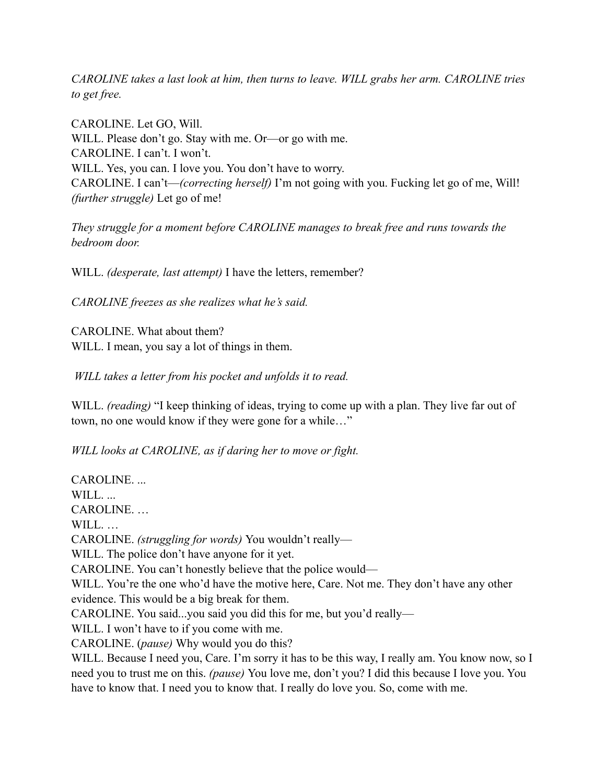*CAROLINE takes a last look at him, then turns to leave. WILL grabs her arm. CAROLINE tries to get free.* 

CAROLINE. Let GO, Will. WILL. Please don't go. Stay with me. Or—or go with me. CAROLINE. I can't. I won't. WILL. Yes, you can. I love you. You don't have to worry. CAROLINE. I can't—*(correcting herself)* I'm not going with you. Fucking let go of me, Will! *(further struggle)* Let go of me!

*They struggle for a moment before CAROLINE manages to break free and runs towards the bedroom door.* 

WILL. *(desperate, last attempt)* I have the letters, remember?

*CAROLINE freezes as she realizes what he's said.*

CAROLINE. What about them? WILL. I mean, you say a lot of things in them.

 *WILL takes a letter from his pocket and unfolds it to read.* 

WILL. *(reading)* "I keep thinking of ideas, trying to come up with a plan. They live far out of town, no one would know if they were gone for a while…"

*WILL looks at CAROLINE, as if daring her to move or fight.*

CAROLINE. ... WILL... CAROLINE. … WILL... CAROLINE. *(struggling for words)* You wouldn't really— WILL. The police don't have anyone for it yet. CAROLINE. You can't honestly believe that the police would— WILL. You're the one who'd have the motive here, Care. Not me. They don't have any other evidence. This would be a big break for them. CAROLINE. You said...you said you did this for me, but you'd really— WILL. I won't have to if you come with me. CAROLINE. (*pause)* Why would you do this? WILL. Because I need you, Care. I'm sorry it has to be this way, I really am. You know now, so I need you to trust me on this. *(pause)* You love me, don't you? I did this because I love you. You have to know that. I need you to know that. I really do love you. So, come with me.